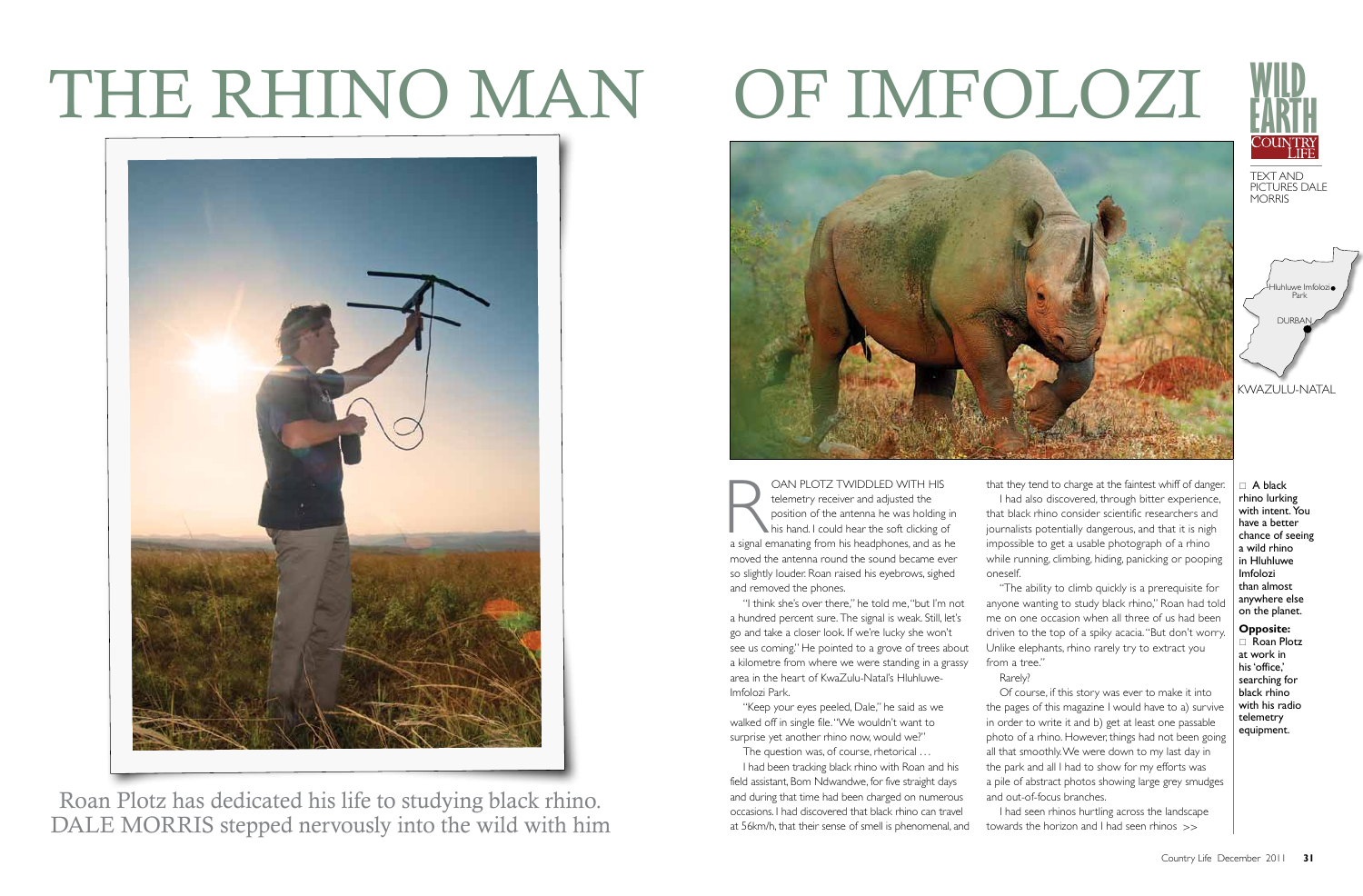CAN PLOTZ TWIDDLED WITH HIS<br>telemetry receiver and adjusted the<br>position of the antenna he was holding in<br>his hand. I could hear the soft clicking of<br>a signal emanating from his headphones, and as he telemetry receiver and adjusted the position of the antenna he was holding in his hand. I could hear the soft clicking of moved the antenna round the sound became ever so slightly louder. Roan raised his eyebrows, sighed and removed the phones.

"I think she's over there," he told me, "but I'm not a hundred percent sure. The signal is weak. Still, let's go and take a closer look. If we're lucky she won't see us coming." He pointed to a grove of trees about a kilometre from where we were standing in a grassy area in the heart of KwaZulu-Natal's Hluhluwe-Imfolozi Park.

"Keep your eyes peeled, Dale," he said as we walked off in single file. "We wouldn't want to surprise yet another rhino now, would we?"

The question was, of course, rhetorical ...

I had been tracking black rhino with Roan and his field assistant, Bom Ndwandwe, for five straight days and during that time had been charged on numerous occasions. I had discovered that black rhino can travel at 56km/h, that their sense of smell is phenomenal, and



Roan Plotz has dedicated his life to studying black rhino. DALE MORRIS stepped nervously into the wild with him

 $\Box$  A black rhino lurking with intent. You have a better chance of seeing a wild rhino in Hluhluwe Imfolozi than almost anywhere else on the planet.

that they tend to charge at the faintest whiff of danger. I had also discovered, through bitter experience, that black rhino consider scientific researchers and journalists potentially dangerous, and that it is nigh impossible to get a usable photograph of a rhino while running, climbing, hiding, panicking or pooping oneself. "The ability to climb quickly is a prerequisite for

anyone wanting to study black rhino," Roan had told me on one occasion when all three of us had been driven to the top of a spiky acacia. "But don't worry. Unlike elephants, rhino rarely try to extract you

from a tree." Rarely?



Of course, if this story was ever to make it into the pages of this magazine I would have to a) survive in order to write it and b) get at least one passable photo of a rhino. However, things had not been going all that smoothly. We were down to my last day in the park and all I had to show for my efforts was a pile of abstract photos showing large grey smudges and out-of-focus branches.

I had seen rhinos hurtling across the landscape towards the horizon and I had seen rhinos >>

## The Rhino man of iMfolozi



**Opposite:**   $\Box$  Roan Plotz at work in his 'office,' searching for black rhino with his radio telemetry equipment.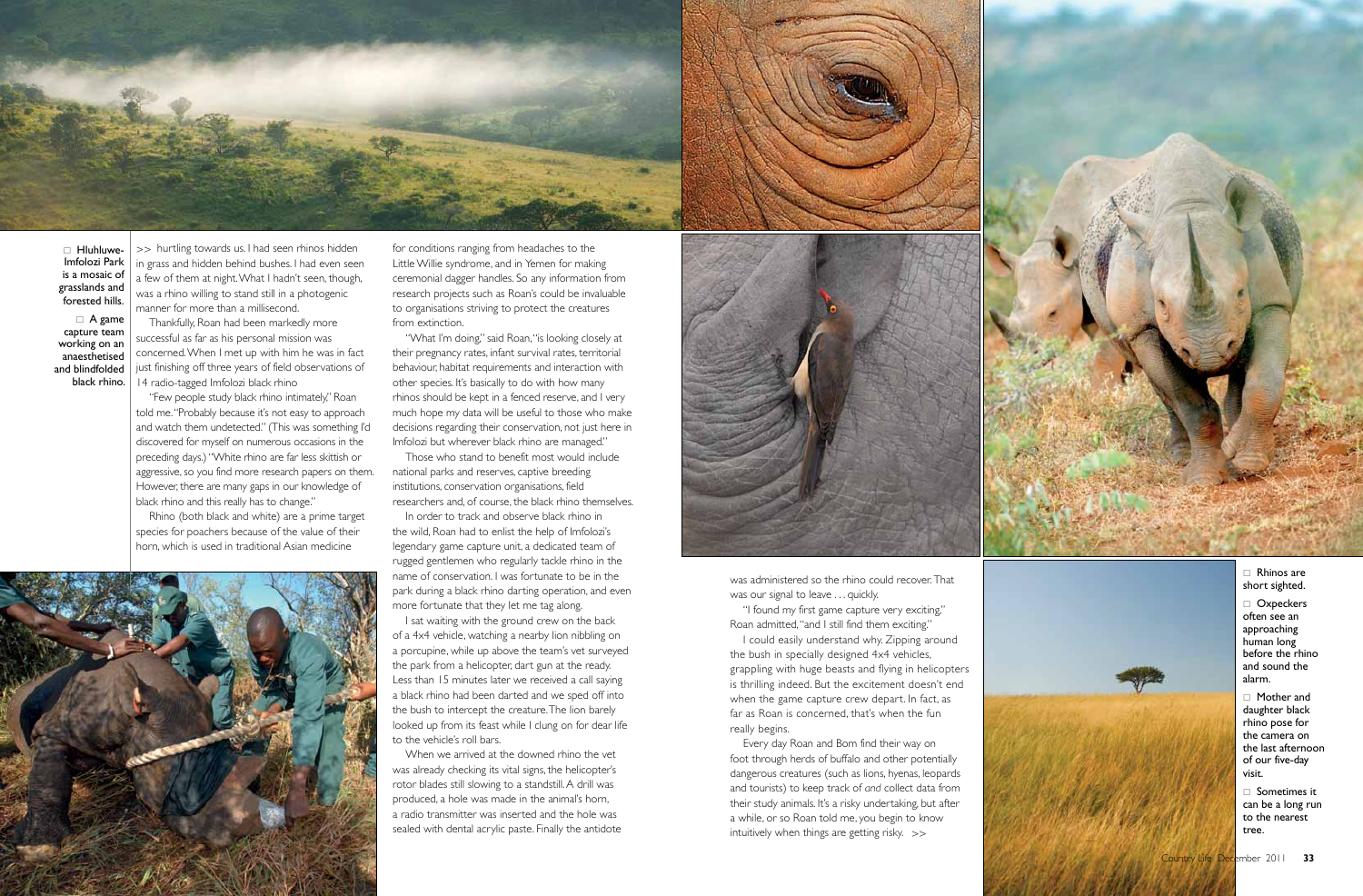for conditions ranging from headaches to the Little Willie syndrome, and in Yemen for making ceremonial dagger handles. So any information from research projects such as Roan's could be invaluable to organisations striving to protect the creatures from extinction.

"What I'm doing," said Roan, "is looking closely at their pregnancy rates, infant survival rates, territorial behaviour, habitat requirements and interaction with other species. It's basically to do with how many rhinos should be kept in a fenced reserve, and I very much hope my data will be useful to those who make decisions regarding their conservation, not just here in Imfolozi but wherever black rhino are managed."

Those who stand to benefit most would include national parks and reserves, captive breeding institutions, conservation organisations, field researchers and, of course, the black rhino themselves. In order to track and observe black rhino in

the wild, Roan had to enlist the help of Imfolozi's legendary game capture unit, a dedicated team of rugged gentlemen who regularly tackle rhino in the name of conservation. I was fortunate to be in the park during a black rhino darting operation, and even

more fortunate that they let me tag along. I sat waiting with the ground crew on the back of a 4x4 vehicle, watching a nearby lion nibbling on a porcupine, while up above the team's vet surveyed the park from a helicopter, dart gun at the ready. Less than 15 minutes later we received a call saying a black rhino had been darted and we sped off into the bush to intercept the creature. The lion barely looked up from its feast while I clung on for dear life to the vehicle's roll bars.

was administered so the rhino could recover. That was our signal to leave ... quickly.

When we arrived at the downed rhino the vet was already checking its vital signs, the helicopter's rotor blades still slowing to a standstill. A drill was produced, a hole was made in the animal's horn, a radio transmitter was inserted and the hole was sealed with dental acrylic paste. Finally the antidote





 $\Box$  Hluhluwe-Imfolozi Park is a mosaic of grasslands and forested hills.

 $\Box$  A game capture team working on an anaesthetised and blindfolded black rhino.

> $\Box$  Rhinos are short sighted.

 $\Box$  Oxpeckers often see an approaching human long before the rhino and sound the alarm.

>> hurtling towards us. I had seen rhinos hidden in grass and hidden behind bushes. I had even seen a few of them at night. What I hadn't seen, though, was a rhino willing to stand still in a photogenic manner for more than a millisecond. Thankfully, Roan had been markedly more

> $\Box$  Mother and daughter black rhino pose for the camera on the last afternoon of our five-day visit.

 $\Box$  Sometimes it can be a long run to the nearest tree.

successful as far as his personal mission was concerned. When I met up with him he was in fact just finishing off three years of field observations of 14 radio-tagged Imfolozi black rhino

"Few people study black rhino intimately," Roan told me. "Probably because it's not easy to approach and watch them undetected." ( This was something I'd discovered for myself on numerous occasions in the preceding days.) " White rhino are far less skittish or aggressive, so you find more research papers on them. However, there are many gaps in our knowledge of black rhino and this really has to change."

Rhino (both black and white) are a prime target species for poachers because of the value of their horn, which is used in traditional Asian medicine

> "I found my first game capture very exciting," Roan admitted, "and I still find them exciting."

I could easily understand why. Zipping around the bush in specially designed 4x4 vehicles, grappling with huge beasts and flying in helicopters is thrilling indeed. But the excitement doesn't end when the game capture crew depart. In fact, as far as Roan is concerned, that's when the fun really begins. Every day Roan and Bom find their way on

foot through herds of buffalo and other potentially dangerous creatures (such as lions, hyenas, leopards and tourists) to keep track of *and* collect data from their study animals. It's a risky undertaking, but after a while, or so Roan told me, you begin to know intuitively when things are getting risky. >>